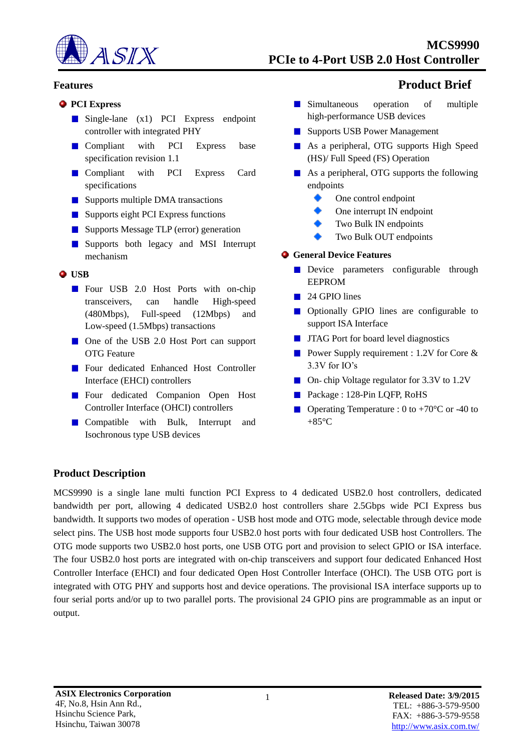

#### **PCI Express**

- Single-lane (x1) PCI Express endpoint controller with integrated PHY
- **Compliant** with PCI Express base specification revision 1.1
- **Compliant** with PCI Express Card specifications
- Supports multiple DMA transactions
- Supports eight PCI Express functions
- Supports Message TLP (error) generation
- **Supports** both legacy and MSI Interrupt mechanism

#### **USB**

- Four USB 2.0 Host Ports with on-chip transceivers, can handle High-speed (480Mbps), Full-speed (12Mbps) and Low-speed (1.5Mbps) transactions
- One of the USB 2.0 Host Port can support OTG Feature
- **Four dedicated Enhanced Host Controller** Interface (EHCI) controllers
- **Four dedicated Companion Open Host** Controller Interface (OHCI) controllers
- **Compatible with Bulk, Interrupt and** Isochronous type USB devices

# **Features Product Brief**

- **Simultaneous** operation of multiple high-performance USB devices
- **Supports USB Power Management**
- **As a peripheral, OTG supports High Speed** (HS)/ Full Speed (FS) Operation
- As a peripheral, OTG supports the following endpoints
	- One control endpoint
	- One interrupt IN endpoint
	- Two Bulk IN endpoints
	- Two Bulk OUT endpoints

#### **General Device Features**

- Device parameters configurable through EEPROM
- 24 GPIO lines
- **Optionally GPIO** lines are configurable to support ISA Interface
- **JTAG** Port for board level diagnostics
- Power Supply requirement : 1.2V for Core & 3.3V for IO's
- On-chip Voltage regulator for 3.3V to 1.2V
- Package : 128-Pin LQFP, RoHS
- Operating Temperature : 0 to +70 $\degree$ C or -40 to +85°C

## **Product Description**

MCS9990 is a single lane multi function PCI Express to 4 dedicated USB2.0 host controllers, dedicated bandwidth per port, allowing 4 dedicated USB2.0 host controllers share 2.5Gbps wide PCI Express bus bandwidth. It supports two modes of operation - USB host mode and OTG mode, selectable through device mode select pins. The USB host mode supports four USB2.0 host ports with four dedicated USB host Controllers. The OTG mode supports two USB2.0 host ports, one USB OTG port and provision to select GPIO or ISA interface. The four USB2.0 host ports are integrated with on-chip transceivers and support four dedicated Enhanced Host Controller Interface (EHCI) and four dedicated Open Host Controller Interface (OHCI). The USB OTG port is integrated with OTG PHY and supports host and device operations. The provisional ISA interface supports up to four serial ports and/or up to two parallel ports. The provisional 24 GPIO pins are programmable as an input or output.